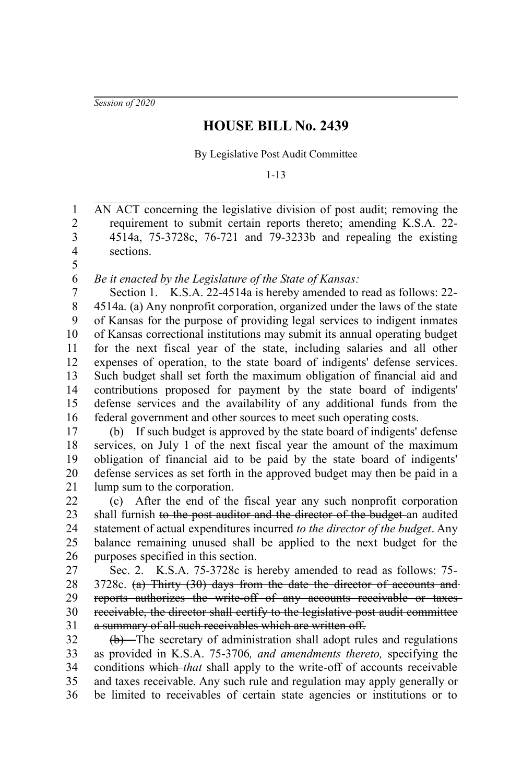*Session of 2020*

## **HOUSE BILL No. 2439**

By Legislative Post Audit Committee

1-13

AN ACT concerning the legislative division of post audit; removing the requirement to submit certain reports thereto; amending K.S.A. 22- 4514a, 75-3728c, 76-721 and 79-3233b and repealing the existing sections. 1 2 3 4 5

*Be it enacted by the Legislature of the State of Kansas:* 6

Section 1. K.S.A. 22-4514a is hereby amended to read as follows: 22- 4514a. (a) Any nonprofit corporation, organized under the laws of the state of Kansas for the purpose of providing legal services to indigent inmates of Kansas correctional institutions may submit its annual operating budget for the next fiscal year of the state, including salaries and all other expenses of operation, to the state board of indigents' defense services. Such budget shall set forth the maximum obligation of financial aid and contributions proposed for payment by the state board of indigents' defense services and the availability of any additional funds from the federal government and other sources to meet such operating costs. 7 8 9 10 11 12 13 14 15 16

(b) If such budget is approved by the state board of indigents' defense services, on July 1 of the next fiscal year the amount of the maximum obligation of financial aid to be paid by the state board of indigents' defense services as set forth in the approved budget may then be paid in a lump sum to the corporation. 17 18 19 20 21

(c) After the end of the fiscal year any such nonprofit corporation shall furnish to the post auditor and the director of the budget-an audited statement of actual expenditures incurred *to the director of the budget*. Any balance remaining unused shall be applied to the next budget for the purposes specified in this section. 22 23 24 25 26

Sec. 2. K.S.A. 75-3728c is hereby amended to read as follows: 75- 3728c. (a) Thirty (30) days from the date the director of accounts and reports authorizes the write-off of any accounts receivable or taxes receivable, the director shall certify to the legislative post audit committee a summary of all such receivables which are written off. 27 28 29 30 31

(b) The secretary of administration shall adopt rules and regulations as provided in K.S.A. 75-3706*, and amendments thereto,* specifying the conditions which *that* shall apply to the write-off of accounts receivable and taxes receivable. Any such rule and regulation may apply generally or be limited to receivables of certain state agencies or institutions or to 32 33 34 35 36